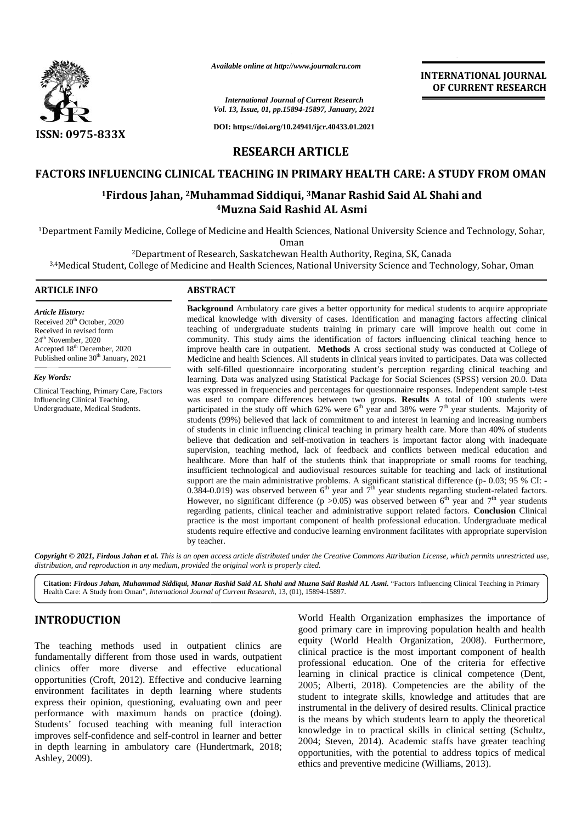

*Available online at http://www.journalcra.com*

### *International Journal of Current Research Vol. 13, Issue, 01, pp.15894-15897, January, 2021*

**DOI: https://doi.org/10.24941/ijcr.40433.01.2021**

# **RESEARCH ARTICLE**

## **FACTORS INFLUENCING CLINICAL TEACHING IN PRIMARY HEALTH CARE: A STUDY FROM OMAN INFLUENCING CLINICAL FROM**

# **<sup>1</sup>Firdous Jahan, <sup>2</sup>Muhammad Siddiqui, <sup>3</sup>Manar Rashid Said AL Shahi and Firdous 2Muhammad 3AL Shahi <sup>4</sup>Muzna Said Rashid AL Asmi**

<sup>1</sup>Department Family Medicine, College of Medicine and Health Sciences, National University Science and Technology, Sohar, Sohar,

Oman

<sup>2</sup>Department of Research, Saskatchewan Health Authority, Regina, SK, Canada

<sup>3,4</sup>Medical Student, College of Medicine and Health Sciences, National University Science and Technology, Sohar, Oman

## **ARTICLE INFO ABSTRACT ARTICLE ABSTRACT**

*Article History:* Received 20<sup>th</sup> October, 2020 Received in revised form 24th November, 2020 Accepted 18<sup>th</sup> December, 2020 Published online 30<sup>th</sup> January, 2021

*Key Words:* Clinical Teaching, Primary Care, Factors Influencing Clinical Teaching, Undergraduate, Medical Students.

**Background** Ambulatory care gives a better opportunity for medical students to acquire appropriate medical knowledge with diversity of cases. Identification and managing factors affecting clinical teaching of undergraduate students training in primary care will improve health out come in community. This study aims the identification of factors influencing clinical teaching hence to improve health care in outpatient. **Methods** A cross sectional study was conducted at College of improve health care in outpatient. Methods A cross sectional study was conducted at College of Medicine and health Sciences. All students in clinical years invited to participates. Data was collected with self-filled questionnaire incorporating student's perception regarding clinical teaching and learning. Data was analyzed using Statistical Package for Social Sciences (SPSS) version 20.0. Data was expressed in frequencies and percentages for questionnaire responses. Independent sample t-test was used to compare differences between two groups. **Results** A total of 100 students were participated in the study off which 62% were 6<sup>th</sup> year and 38% were 7<sup>th</sup> year students. Majority of students (99%) believed that lack of commitment to and interest in learning and increasing numbers of students in clinic influencing clinical teaching in primary health care. More than 40% of students believe that dedication and self-motivation in teachers is important factor along with inadequate supervision, teaching method, lack of feedback and conflicts between medical education and healthcare. More than half of the students think that inappropriate or small rooms for teaching, insufficient technological and audiovisual resources suitable for teaching and lack of institutional support are the main administrative problems. A significant statistical difference (p- 0.03; 95 % CI: -0.384-0.019) was observed between  $6<sup>th</sup>$  year and  $7<sup>th</sup>$  year students regarding student-related factors. However, no significant difference (p > 0.05) was observed between  $6<sup>th</sup>$  year and  $7<sup>th</sup>$  year students regarding patients, clinical teacher and administrative support related factors. **Conclusion** Clinical practice is the most important component of health professional education. Undergraduate medical students require effective and conducive learning environment facilitates with appropriate supervision by teacher. **Background** Ambulatory care gives a better opportunity for medical students to acquire appropriate medical knowledge with diversity of cases. Identification and managing factors affecting clinical teaching of undergraduat with self-filled questionnaire incorporating student's perception regarding clinical teaching and<br>learning. Data was analyzed using Statistical Package for Social Sciences (SPSS) version 20.0. Data<br>was expressed in freque regarding patients, clinical teacher and administrative support related factors. Conclusion Clinical<br>practice is the most important component of health professional education. Undergraduate medical<br>students require effecti criteria continuous continuous continuous continuous continuous continuous continuous continuous continuous continuous continuous continuous continuous continuous continuous continuous continuous continuous continuous cont Computer of Health Shahrid Michael Shahrid Computer Computer Computer Computer Computer Computer Computer Computer Computer Computer Computer Computer Computer Computer Computer Computer Computer Computer Computer Computer INTERNATIONAL JOURNAL<br>
SOF CURRENT RESEARCH<br>
SOF-(S897, Jammey, 8021<br>
SOF-(S897, Jammey, 2021<br>
TARTICLE<br>
PRIMARY HEALTH CARE: A STUDY FROM OMAN<br>
11,304-108/(1-10843-01.2021<br>
14 ARTICLE<br>
PRIMARY HEALTH CARE: A STUDY FROM O

**INTERNATIONAL JOURNAL OF CURRENT RESEARCH**

Copyright © 2021, Firdous Jahan et al. This is an open access article distributed under the Creative Commons Attribution License, which permits unrestricted use, *distribution, and reproduction in any medium, provided the original work is properly cited. distribution,any*

**Citation:** *Firdous Jahan, Muhammad Siddiqui, Manar Rashid Said AL Shahi and Muzna Said Rashid AL Asmi.* "Factors Influencing Clinical Teaching in Primary Health Care: A Study from Oman", *International Journal of Current Research*, 13, (01), 15894-15897.

# **INTRODUCTION INTRODUCTION**

The teaching methods used in outpatient clinics are fundamentally different from those used in wards, outpatient clinics offer more diverse and effective educational opportunities (Croft, 2012). Effective and conducive learning environment facilitates in depth learning where students express their opinion, questioning, evaluating own and peer The teaching methods used in outpatient clinics are fundamentally different from those used in wards, outpatient clinics offer more diverse and effective educational opportunities (Croft, 2012). Effective and conducive lea Students' focused teaching with meaning full interaction is the improves self-confidence and self-control in learner and better  $\frac{M}{2}$ in depth learning in ambulatory care (Hundertmark, 2018; Ashley, 2009).

World Health Organization emphasizes the importance of good primary care in improving population health and health equity (World Health Organization, 2008). Furthermore, clinical practice is the most important component of health professional education. One of the criteria for effective learning in clinical practice is clinical competence (Dent, 2005; Alberti, 2018). Competencies are the ability of the student to integrate skills, knowledge and attitudes that are instrumental in the delivery of desired results. Clinical practice is the means by which students learn to apply the theoretical knowledge in to practical skills in clinical setting (Schultz, 2004; Steven, 2014). Academic staffs have greater teaching opportunities, with the potential to address topics of medical ethics and preventive medicine (Williams, 2013). **INTRODUCTION** World Health Organization emphasizes the importance of good primary care improving population health and health current fundamentally different from those used in wards, outpatient clinical practice is the m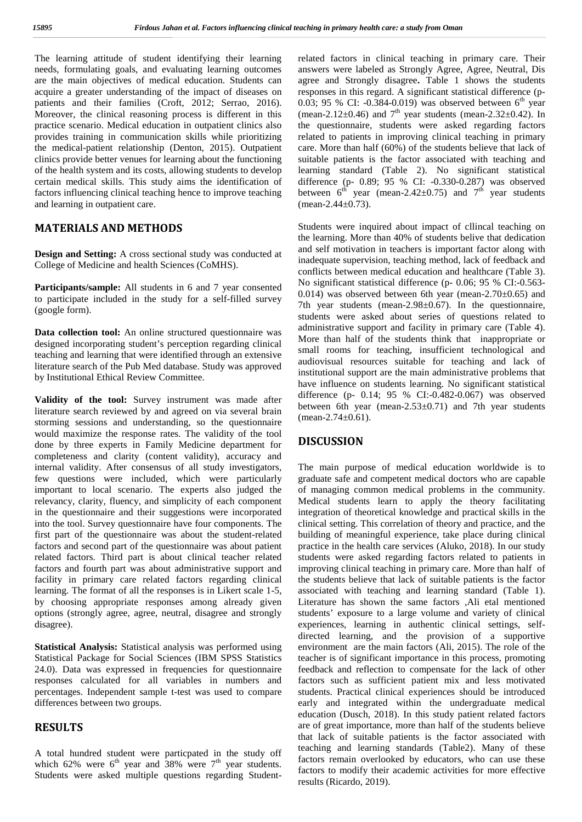The learning attitude of student identifying their learning needs, formulating goals, and evaluating learning outcomes are the main objectives of medical education. Students can acquire a greater understanding of the impact of diseases on patients and their families (Croft, 2012; Serrao, 2016). Moreover, the clinical reasoning process is different in this practice scenario. Medical education in outpatient clinics also provides training in communication skills while prioritizing the medical-patient relationship (Denton, 2015). Outpatient clinics provide better venues for learning about the functioning of the health system and its costs, allowing students to develop certain medical skills. This study aims the identification of factors influencing clinical teaching hence to improve teaching and learning in outpatient care.

## **MATERIALS AND METHODS**

**Design and Setting:** A cross sectional study was conducted at College of Medicine and health Sciences (CoMHS).

**Participants/sample:** All students in 6 and 7 year consented to participate included in the study for a self-filled survey (google form).

**Data collection tool:** An online structured questionnaire was designed incorporating student's perception regarding clinical teaching and learning that were identified through an extensive literature search of the Pub Med database. Study was approved by Institutional Ethical Review Committee.

**Validity of the tool:** Survey instrument was made after literature search reviewed by and agreed on via several brain storming sessions and understanding, so the questionnaire would maximize the response rates. The validity of the tool done by three experts in Family Medicine department for completeness and clarity (content validity), accuracy and internal validity. After consensus of all study investigators, few questions were included, which were particularly important to local scenario. The experts also judged the relevancy, clarity, fluency, and simplicity of each component in the questionnaire and their suggestions were incorporated into the tool. Survey questionnaire have four components. The first part of the questionnaire was about the student-related factors and second part of the questionnaire was about patient related factors. Third part is about clinical teacher related factors and fourth part was about administrative support and facility in primary care related factors regarding clinical learning. The format of all the responses is in Likert scale 1-5, by choosing appropriate responses among already given options (strongly agree, agree, neutral, disagree and strongly disagree).

**Statistical Analysis:** Statistical analysis was performed using Statistical Package for Social Sciences (IBM SPSS Statistics 24.0). Data was expressed in frequencies for questionnaire responses calculated for all variables in numbers and percentages. Independent sample t-test was used to compare differences between two groups.

## **RESULTS**

A total hundred student were particpated in the study off which 62% were  $6<sup>th</sup>$  year and 38% were  $7<sup>th</sup>$  year students. Students were asked multiple questions regarding Student-

related factors in clinical teaching in primary care. Their answers were labeled as Strongly Agree, Agree, Neutral, Dis agree and Strongly disagree**.** Table 1 shows the students responses in this regard. A significant statistical difference (p- 0.03; 95 % CI: -0.384-0.019) was observed between  $6<sup>th</sup>$  year (mean-2.12 $\pm$ 0.46) and  $7<sup>th</sup>$  year students (mean-2.32 $\pm$ 0.42). In the questionnaire, students were asked regarding factors related to patients in improving clinical teaching in primary care. More than half (60%) of the students believe that lack of suitable patients is the factor associated with teaching and learning standard (Table 2). No significant statistical difference (p- 0.89; 95 % CI: -0.330-0.287) was observed between  $6^{th}$  year (mean-2.42±0.75) and  $7^{th}$  year students  $(mean-2.44\pm0.73)$ .

Students were inquired about impact of cllincal teaching on the learning. More than 40% of students belive that dedication and self motivation in teachers is important factor along with inadequate supervision, teaching method, lack of feedback and conflicts between medical education and healthcare (Table 3). No significant statistical difference (p- 0.06; 95 % CI:-0.563- 0.014) was observed between 6th year (mean- $2.70\pm0.65$ ) and 7th year students (mean-2.98 $\pm$ 0.67). In the questionnaire, students were asked about series of questions related to administrative support and facility in primary care (Table 4). More than half of the students think that inappropriate or small rooms for teaching, insufficient technological and audiovisual resources suitable for teaching and lack of institutional support are the main administrative problems that have influence on students learning. No significant statistical difference (p- 0.14; 95 % CI:-0.482-0.067) was observed between 6th year (mean- $2.53\pm0.71$ ) and 7th year students  $(mean-2.74\pm0.61).$ 

## **DISCUSSION**

The main purpose of medical education worldwide is to graduate safe and competent medical doctors who are capable of managing common medical problems in the community. Medical students learn to apply the theory facilitating integration of theoretical knowledge and practical skills in the clinical setting. This correlation of theory and practice, and the building of meaningful experience, take place during clinical practice in the health care services (Aluko, 2018). In our study students were asked regarding factors related to patients in improving clinical teaching in primary care. More than half of the students believe that lack of suitable patients is the factor associated with teaching and learning standard (Table 1). Literature has shown the same factors ,Ali etal mentioned students' exposure to a large volume and variety of clinical experiences, learning in authentic clinical settings, self directed learning, and the provision of a supportive environment are the main factors (Ali, 2015). The role of the teacher is of significant importance in this process, promoting feedback and reflection to compensate for the lack of other factors such as sufficient patient mix and less motivated students. Practical clinical experiences should be introduced early and integrated within the undergraduate medical education (Dusch, 2018). In this study patient related factors are of great importance, more than half of the students believe that lack of suitable patients is the factor associated with teaching and learning standards (Table2). Many of these factors remain overlooked by educators, who can use these factors to modify their academic activities for more effective results (Ricardo, 2019).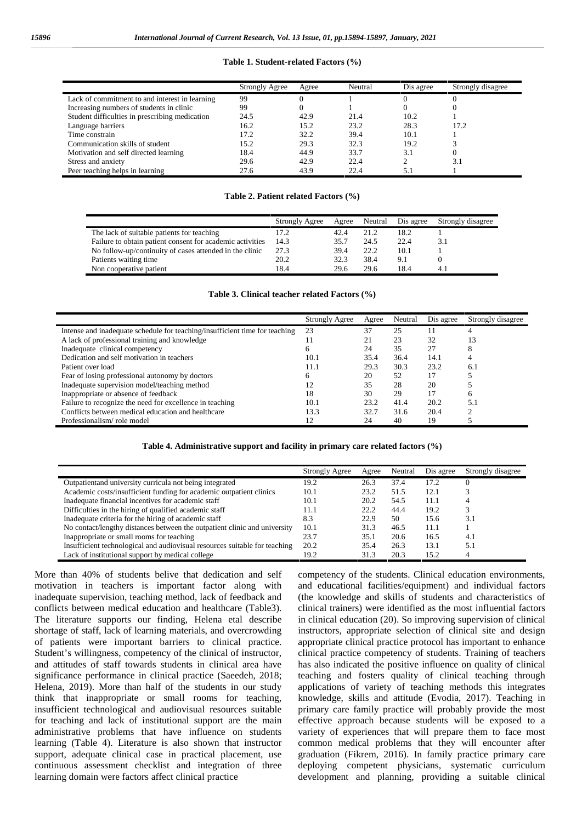#### **Table 1. Student-related Factors (%)**

|                                                | <b>Strongly Agree</b> | Agree | Neutral | Dis agree | Strongly disagree |
|------------------------------------------------|-----------------------|-------|---------|-----------|-------------------|
| Lack of commitment to and interest in learning | 99                    |       |         |           |                   |
| Increasing numbers of students in clinic       | 99                    |       |         |           |                   |
| Student difficulties in prescribing medication | 24.5                  | 42.9  | 21.4    | 10.2      |                   |
| Language barriers                              | 16.2                  | 15.2  | 23.2    | 28.3      | 17.2              |
| Time constrain                                 | 17.2                  | 32.2  | 39.4    | 10.1      |                   |
| Communication skills of student                | 15.2                  | 29.3  | 32.3    | 19.2      |                   |
| Motivation and self directed learning          | 18.4                  | 44.9  | 33.7    | 3.1       |                   |
| Stress and anxiety                             | 29.6                  | 42.9  | 22.4    |           | 3.1               |
| Peer teaching helps in learning                | 27.6                  | 43.9  | 22.4    |           |                   |

#### **Table 2. Patient related Factors (%)**

|                                                           | Strongly Agree | Agree | Neutral | Dis agree | Strongly disagree |
|-----------------------------------------------------------|----------------|-------|---------|-----------|-------------------|
| The lack of suitable patients for teaching                | 17.2           | 42.4  | 21.2    | 18.2      |                   |
| Failure to obtain patient consent for academic activities | 14.3           | 35.7  | 24.5    | 22.4      |                   |
| No follow-up/continuity of cases attended in the clinic   | 27.3           | 39.4  | 22.2    | 10.1      |                   |
| Patients waiting time                                     | 20.2           | 32.3  | 38.4    | 9.1       |                   |
| Non cooperative patient                                   | 18.4           | 29.6  | 29.6    | 18.4      |                   |

#### **Table 3. Clinical teacher related Factors (%)**

|                                                                             | Strongly Agree | Agree | Neutral | Dis agree | Strongly disagree |
|-----------------------------------------------------------------------------|----------------|-------|---------|-----------|-------------------|
| Intense and inadequate schedule for teaching/insufficient time for teaching | 23             | 37    | 25      | 11        |                   |
| A lack of professional training and knowledge                               |                | 21    | 23      | 32        |                   |
| Inadequate clinical competency                                              | h              | 24    | 35      | 27        |                   |
| Dedication and self motivation in teachers                                  | 10.1           | 35.4  | 36.4    | 14.1      |                   |
| Patient over load                                                           | 11.1           | 29.3  | 30.3    | 23.2      | 6.1               |
| Fear of losing professional autonomy by doctors                             | h              | 20    | 52      |           |                   |
| Inadequate supervision model/teaching method                                | 12             | 35    | 28      | 20        |                   |
| Inappropriate or absence of feedback                                        | 18             | 30    | 29      |           |                   |
| Failure to recognize the need for excellence in teaching                    | 10.1           | 23.2  | 41.4    | 20.2      | 5.1               |
| Conflicts between medical education and healthcare                          | 13.3           | 32.7  | 31.6    | 20.4      |                   |
| Professionalism/role model                                                  | 12             | 24    | 40      | 19        |                   |

#### **Table 4. Administrative support and facility in primary care related factors (%)**

|                                                                            | Strongly Agree | Agree | Neutral | Dis agree | Strongly disagree |
|----------------------------------------------------------------------------|----------------|-------|---------|-----------|-------------------|
| Outpatient and university curricula not being integrated                   | 19.2           | 26.3  | 37.4    | 17.2      |                   |
| Academic costs/insufficient funding for academic outpatient clinics        | 10.1           | 23.2  | 51.5    | 12.1      |                   |
| Inadequate financial incentives for academic staff                         | 10.1           | 20.2  | 54.5    | 11.1      |                   |
| Difficulties in the hiring of qualified academic staff                     | 11.1           | 22.2  | 44.4    | 19.2      |                   |
| Inadequate criteria for the hiring of academic staff                       | 8.3            | 22.9  | 50      | 15.6      | 3.1               |
| No contact/lengthy distances between the outpatient clinic and university  | 10.1           | 31.3  | 46.5    | 11.1      |                   |
| Inappropriate or small rooms for teaching                                  | 23.7           | 35.1  | 20.6    | 16.5      | 4.1               |
| Insufficient technological and audiovisual resources suitable for teaching | 20.2           | 35.4  | 26.3    | 13.1      | 5.1               |
| Lack of institutional support by medical college                           | 19.2           | 31.3  | 20.3    | 15.2      |                   |

More than 40% of students belive that dedication and self motivation in teachers is important factor along with inadequate supervision, teaching method, lack of feedback and conflicts between medical education and healthcare (Table3). The literature supports our finding, Helena etal describe shortage of staff, lack of learning materials, and overcrowding of patients were important barriers to clinical practice. Student's willingness, competency of the clinical of instructor, and attitudes of staff towards students in clinical area have significance performance in clinical practice (Saeedeh, 2018; Helena, 2019). More than half of the students in our study think that inappropriate or small rooms for teaching, insufficient technological and audiovisual resources suitable for teaching and lack of institutional support are the main administrative problems that have influence on students learning (Table 4). Literature is also shown that instructor support, adequate clinical case in practical placement, use continuous assessment checklist and integration of three learning domain were factors affect clinical practice

competency of the students. Clinical education environments, and educational facilities/equipment) and individual factors (the knowledge and skills of students and characteristics of clinical trainers) were identified as the most influential factors in clinical education (20). So improving supervision of clinical instructors, appropriate selection of clinical site and design appropriate clinical practice protocol has important to enhance clinical practice competency of students. Training of teachers has also indicated the positive influence on quality of clinical teaching and fosters quality of clinical teaching through applications of variety of teaching methods this integrates knowledge, skills and attitude (Evodia, 2017). Teaching in primary care family practice will probably provide the most effective approach because students will be exposed to a variety of experiences that will prepare them to face most common medical problems that they will encounter after graduation (Fikrem, 2016). In family practice primary care deploying competent physicians, systematic curriculum development and planning, providing a suitable clinical